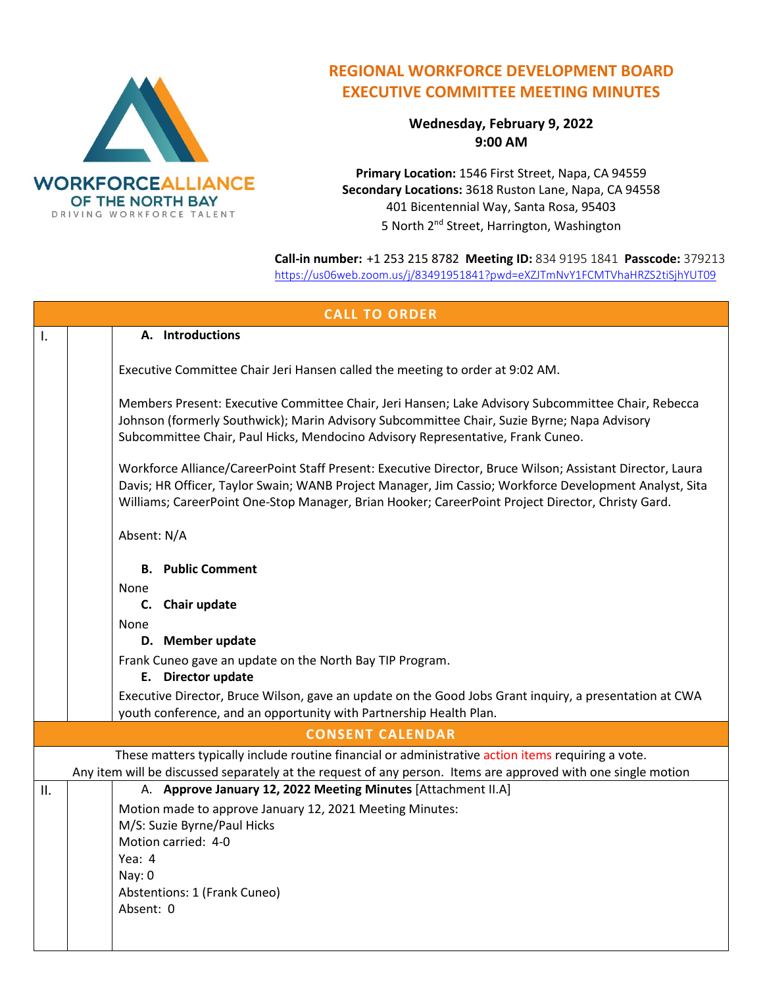

## **EXECUTIVE COMMITTEE MEETING MINUTES REGIONAL WORKFORCE DEVELOPMENT BOARD**

**Wednesday, February 9, 2022 9:00 AM**

**Primary Location:** 1546 First Street, Napa, CA 94559 **Secondary Locations:** 3618 Ruston Lane, Napa, CA 94558 401 Bicentennial Way, Santa Rosa, 95403 5 North 2<sup>nd</sup> Street, Harrington, Washington

**Call-in number:** +1 253 215 8782 **Meeting ID:** 834 9195 1841 **Passcode:** 379213 <https://us06web.zoom.us/j/83491951841?pwd=eXZJTmNvY1FCMTVhaHRZS2tiSjhYUT09>

| <b>CALL TO ORDER</b>    |  |                                                                                                                                                                                                                                                                                                                          |  |  |  |
|-------------------------|--|--------------------------------------------------------------------------------------------------------------------------------------------------------------------------------------------------------------------------------------------------------------------------------------------------------------------------|--|--|--|
| I.                      |  | A. Introductions                                                                                                                                                                                                                                                                                                         |  |  |  |
|                         |  | Executive Committee Chair Jeri Hansen called the meeting to order at 9:02 AM.                                                                                                                                                                                                                                            |  |  |  |
|                         |  | Members Present: Executive Committee Chair, Jeri Hansen; Lake Advisory Subcommittee Chair, Rebecca<br>Johnson (formerly Southwick); Marin Advisory Subcommittee Chair, Suzie Byrne; Napa Advisory<br>Subcommittee Chair, Paul Hicks, Mendocino Advisory Representative, Frank Cuneo.                                     |  |  |  |
|                         |  | Workforce Alliance/CareerPoint Staff Present: Executive Director, Bruce Wilson; Assistant Director, Laura<br>Davis; HR Officer, Taylor Swain; WANB Project Manager, Jim Cassio; Workforce Development Analyst, Sita<br>Williams; CareerPoint One-Stop Manager, Brian Hooker; CareerPoint Project Director, Christy Gard. |  |  |  |
|                         |  | Absent: N/A                                                                                                                                                                                                                                                                                                              |  |  |  |
|                         |  | <b>B.</b> Public Comment                                                                                                                                                                                                                                                                                                 |  |  |  |
|                         |  | None                                                                                                                                                                                                                                                                                                                     |  |  |  |
|                         |  | C. Chair update                                                                                                                                                                                                                                                                                                          |  |  |  |
|                         |  | None<br>D. Member update                                                                                                                                                                                                                                                                                                 |  |  |  |
|                         |  | Frank Cuneo gave an update on the North Bay TIP Program.<br>E. Director update                                                                                                                                                                                                                                           |  |  |  |
|                         |  | Executive Director, Bruce Wilson, gave an update on the Good Jobs Grant inquiry, a presentation at CWA<br>youth conference, and an opportunity with Partnership Health Plan.                                                                                                                                             |  |  |  |
| <b>CONSENT CALENDAR</b> |  |                                                                                                                                                                                                                                                                                                                          |  |  |  |
|                         |  | These matters typically include routine financial or administrative action items requiring a vote.<br>Any item will be discussed separately at the request of any person. Items are approved with one single motion                                                                                                      |  |  |  |
| II.                     |  | A. Approve January 12, 2022 Meeting Minutes [Attachment II.A]                                                                                                                                                                                                                                                            |  |  |  |
|                         |  | Motion made to approve January 12, 2021 Meeting Minutes:                                                                                                                                                                                                                                                                 |  |  |  |
|                         |  | M/S: Suzie Byrne/Paul Hicks<br>Motion carried: 4-0                                                                                                                                                                                                                                                                       |  |  |  |
|                         |  | Yea: 4                                                                                                                                                                                                                                                                                                                   |  |  |  |
|                         |  | Nay: 0                                                                                                                                                                                                                                                                                                                   |  |  |  |
|                         |  | Abstentions: 1 (Frank Cuneo)                                                                                                                                                                                                                                                                                             |  |  |  |
|                         |  | Absent: 0                                                                                                                                                                                                                                                                                                                |  |  |  |
|                         |  |                                                                                                                                                                                                                                                                                                                          |  |  |  |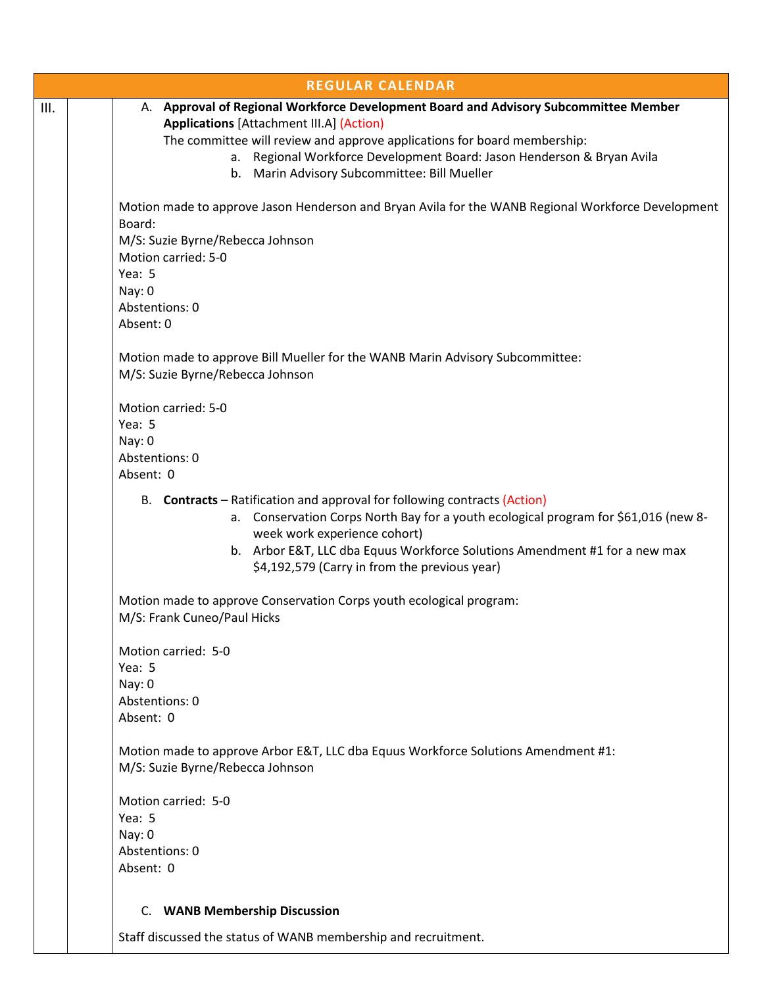|      | <b>REGULAR CALENDAR</b> |                                                                                                                                                                                                                                                                                                                                 |  |  |  |  |
|------|-------------------------|---------------------------------------------------------------------------------------------------------------------------------------------------------------------------------------------------------------------------------------------------------------------------------------------------------------------------------|--|--|--|--|
| III. |                         | A. Approval of Regional Workforce Development Board and Advisory Subcommittee Member<br><b>Applications [Attachment III.A] (Action)</b><br>The committee will review and approve applications for board membership:                                                                                                             |  |  |  |  |
|      |                         | a. Regional Workforce Development Board: Jason Henderson & Bryan Avila<br>b. Marin Advisory Subcommittee: Bill Mueller                                                                                                                                                                                                          |  |  |  |  |
|      |                         | Motion made to approve Jason Henderson and Bryan Avila for the WANB Regional Workforce Development<br>Board:                                                                                                                                                                                                                    |  |  |  |  |
|      |                         | M/S: Suzie Byrne/Rebecca Johnson<br>Motion carried: 5-0<br>Yea: 5                                                                                                                                                                                                                                                               |  |  |  |  |
|      |                         | Nay: 0                                                                                                                                                                                                                                                                                                                          |  |  |  |  |
|      |                         | Abstentions: 0<br>Absent: 0                                                                                                                                                                                                                                                                                                     |  |  |  |  |
|      |                         | Motion made to approve Bill Mueller for the WANB Marin Advisory Subcommittee:<br>M/S: Suzie Byrne/Rebecca Johnson                                                                                                                                                                                                               |  |  |  |  |
|      |                         | Motion carried: 5-0<br>Yea: 5                                                                                                                                                                                                                                                                                                   |  |  |  |  |
|      |                         | Nay: 0<br>Abstentions: 0<br>Absent: 0                                                                                                                                                                                                                                                                                           |  |  |  |  |
|      |                         | B. Contracts – Ratification and approval for following contracts (Action)<br>a. Conservation Corps North Bay for a youth ecological program for \$61,016 (new 8-<br>week work experience cohort)<br>b. Arbor E&T, LLC dba Equus Workforce Solutions Amendment #1 for a new max<br>\$4,192,579 (Carry in from the previous year) |  |  |  |  |
|      |                         | Motion made to approve Conservation Corps youth ecological program:<br>M/S: Frank Cuneo/Paul Hicks                                                                                                                                                                                                                              |  |  |  |  |
|      |                         | Motion carried: 5-0<br>Yea: 5                                                                                                                                                                                                                                                                                                   |  |  |  |  |
|      |                         | Nay: 0<br>Abstentions: 0                                                                                                                                                                                                                                                                                                        |  |  |  |  |
|      |                         | Absent: 0                                                                                                                                                                                                                                                                                                                       |  |  |  |  |
|      |                         | Motion made to approve Arbor E&T, LLC dba Equus Workforce Solutions Amendment #1:<br>M/S: Suzie Byrne/Rebecca Johnson                                                                                                                                                                                                           |  |  |  |  |
|      |                         | Motion carried: 5-0                                                                                                                                                                                                                                                                                                             |  |  |  |  |
|      |                         | Yea: 5<br>Nay: 0                                                                                                                                                                                                                                                                                                                |  |  |  |  |
|      |                         | Abstentions: 0                                                                                                                                                                                                                                                                                                                  |  |  |  |  |
|      |                         | Absent: 0                                                                                                                                                                                                                                                                                                                       |  |  |  |  |
|      |                         | C. WANB Membership Discussion                                                                                                                                                                                                                                                                                                   |  |  |  |  |

Staff discussed the status of WANB membership and recruitment.